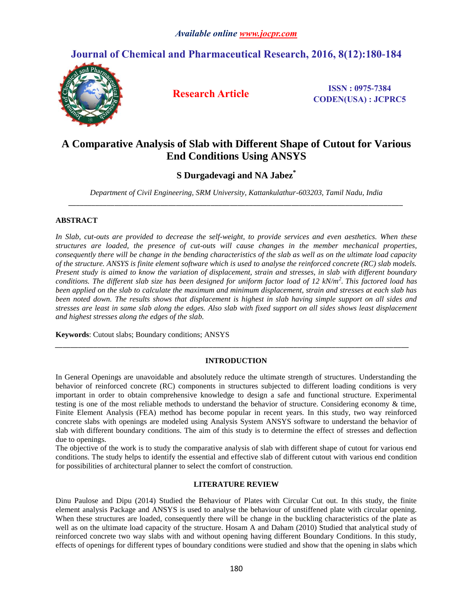# **Journal of Chemical and Pharmaceutical Research, 2016, 8(12):180-184**



**Research Article ISSN**: 0975-7384 **CODEN(USA) : JCPRC5**

# **A Comparative Analysis of Slab with Different Shape of Cutout for Various End Conditions Using ANSYS**

# **S Durgadevagi and NA Jabez\***

*Department of Civil Engineering, SRM University, Kattankulathur-603203, Tamil Nadu, India \_\_\_\_\_\_\_\_\_\_\_\_\_\_\_\_\_\_\_\_\_\_\_\_\_\_\_\_\_\_\_\_\_\_\_\_\_\_\_\_\_\_\_\_\_\_\_\_\_\_\_\_\_\_\_\_\_\_\_\_\_\_\_\_\_\_\_\_\_\_\_\_\_\_\_\_\_\_\_\_\_\_\_\_\_\_\_*

## **ABSTRACT**

*In Slab, cut-outs are provided to decrease the self-weight, to provide services and even aesthetics. When these structures are loaded, the presence of cut-outs will cause changes in the member mechanical properties, consequently there will be change in the bending characteristics of the slab as well as on the ultimate load capacity of the structure. ANSYS is finite element software which is used to analyse the reinforced concrete (RC) slab models. Present study is aimed to know the variation of displacement, strain and stresses, in slab with different boundary conditions. The different slab size has been designed for uniform factor load of 12 kN/m<sup>2</sup> . This factored load has been applied on the slab to calculate the maximum and minimum displacement, strain and stresses at each slab has been noted down. The results shows that displacement is highest in slab having simple support on all sides and stresses are least in same slab along the edges. Also slab with fixed support on all sides shows least displacement and highest stresses along the edges of the slab.*

**Keywords**: Cutout slabs; Boundary conditions; ANSYS

# **INTRODUCTION**

*\_\_\_\_\_\_\_\_\_\_\_\_\_\_\_\_\_\_\_\_\_\_\_\_\_\_\_\_\_\_\_\_\_\_\_\_\_\_\_\_\_\_\_\_\_\_\_\_\_\_\_\_\_\_\_\_\_\_\_\_\_\_\_\_\_\_\_\_\_\_\_\_\_\_\_\_\_\_\_\_\_\_\_\_\_\_\_\_\_\_\_\_*

In General Openings are unavoidable and absolutely reduce the ultimate strength of structures. Understanding the behavior of reinforced concrete (RC) components in structures subjected to different loading conditions is very important in order to obtain comprehensive knowledge to design a safe and functional structure. Experimental testing is one of the most reliable methods to understand the behavior of structure. Considering economy & time, Finite Element Analysis (FEA) method has become popular in recent years. In this study, two way reinforced concrete slabs with openings are modeled using Analysis System ANSYS software to understand the behavior of slab with different boundary conditions. The aim of this study is to determine the effect of stresses and deflection due to openings.

The objective of the work is to study the comparative analysis of slab with different shape of cutout for various end conditions. The study helps to identify the essential and effective slab of different cutout with various end condition for possibilities of architectural planner to select the comfort of construction.

## **LITERATURE REVIEW**

Dinu Paulose and Dipu (2014) Studied the Behaviour of Plates with Circular Cut out. In this study, the finite element analysis Package and ANSYS is used to analyse the behaviour of unstiffened plate with circular opening. When these structures are loaded, consequently there will be change in the buckling characteristics of the plate as well as on the ultimate load capacity of the structure. Hosam A and Daham (2010) Studied that analytical study of reinforced concrete two way slabs with and without opening having different Boundary Conditions. In this study, effects of openings for different types of boundary conditions were studied and show that the opening in slabs which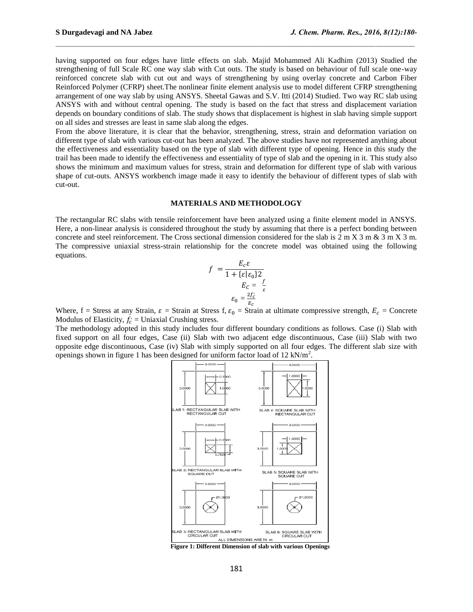having supported on four edges have little effects on slab. Majid Mohammed Ali Kadhim (2013) Studied the strengthening of full Scale RC one way slab with Cut outs. The study is based on behaviour of full scale one-way reinforced concrete slab with cut out and ways of strengthening by using overlay concrete and Carbon Fiber Reinforced Polymer (CFRP) sheet.The nonlinear finite element analysis use to model different CFRP strengthening arrangement of one way slab by using ANSYS. Sheetal Gawas and S.V. Itti (2014) Studied. Two way RC slab using ANSYS with and without central opening. The study is based on the fact that stress and displacement variation depends on boundary conditions of slab. The study shows that displacement is highest in slab having simple support on all sides and stresses are least in same slab along the edges.

From the above literature, it is clear that the behavior, strengthening, stress, strain and deformation variation on different type of slab with various cut-out has been analyzed. The above studies have not represented anything about the effectiveness and essentiality based on the type of slab with different type of opening. Hence in this study the trail has been made to identify the effectiveness and essentiality of type of slab and the opening in it. This study also shows the minimum and maximum values for stress, strain and deformation for different type of slab with various shape of cut-outs. ANSYS workbench image made it easy to identify the behaviour of different types of slab with cut-out.

#### **MATERIALS AND METHODOLOGY**

The rectangular RC slabs with tensile reinforcement have been analyzed using a finite element model in ANSYS. Here, a non-linear analysis is considered throughout the study by assuming that there is a perfect bonding between concrete and steel reinforcement. The Cross sectional dimension considered for the slab is  $2 \text{ m X } 3 \text{ m } \& 3 \text{ m X } 3 \text{ m}$ . The compressive uniaxial stress-strain relationship for the concrete model was obtained using the following equations.

$$
f = \frac{E_c \varepsilon}{1 + \{\varepsilon | \varepsilon_0\} 2}
$$

$$
E_c = \frac{f}{\varepsilon}
$$

$$
\varepsilon_0 = \frac{2f_c'}{E_c}
$$

Where, f = Stress at any Strain,  $\varepsilon$  = Strain at Stress f,  $\varepsilon_0$  = Strain at ultimate compressive strength,  $E_c$  = Concrete Modulus of Elasticity,  $f'_{c}$  = Uniaxial Crushing stress.

The methodology adopted in this study includes four different boundary conditions as follows. Case (i) Slab with fixed support on all four edges, Case (ii) Slab with two adjacent edge discontinuous, Case (iii) Slab with two opposite edge discontinuous, Case (iv) Slab with simply supported on all four edges. The different slab size with openings shown in figure 1 has been designed for uniform factor load of 12 kN/m<sup>2</sup>.



**Figure 1: Different Dimension of slab with various Openings**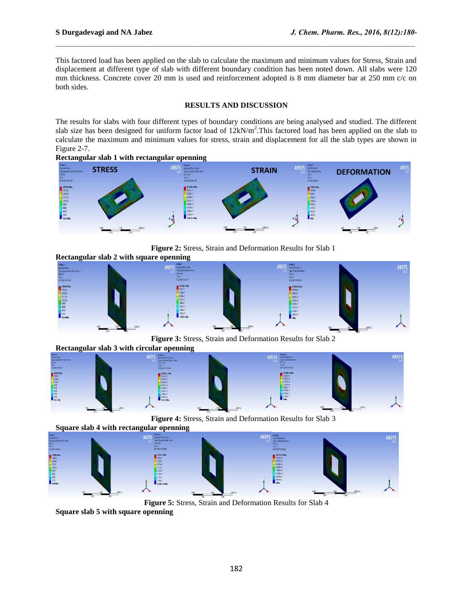This factored load has been applied on the slab to calculate the maximum and minimum values for Stress, Strain and displacement at different type of slab with different boundary condition has been noted down. All slabs were 120 mm thickness. Concrete cover 20 mm is used and reinforcement adopted is 8 mm diameter bar at 250 mm c/c on both sides.

#### **RESULTS AND DISCUSSION**

The results for slabs with four different types of boundary conditions are being analysed and studied. The different slab size has been designed for uniform factor load of  $12kN/m^2$ . This factored load has been applied on the slab to calculate the maximum and minimum values for stress, strain and displacement for all the slab types are shown in Figure 2-7.

**Rectangular slab 1 with rectangular openning**



**Figure 2:** Stress, Strain and Deformation Results for Slab 1



**Figure 3:** Stress, Strain and Deformation Results for Slab 2

**Rectangular slab 3 with circular openning**



**Figure 4:** Stress, Strain and Deformation Results for Slab 3



**Figure 5:** Stress, Strain and Deformation Results for Slab 4

**Square slab 5 with square openning**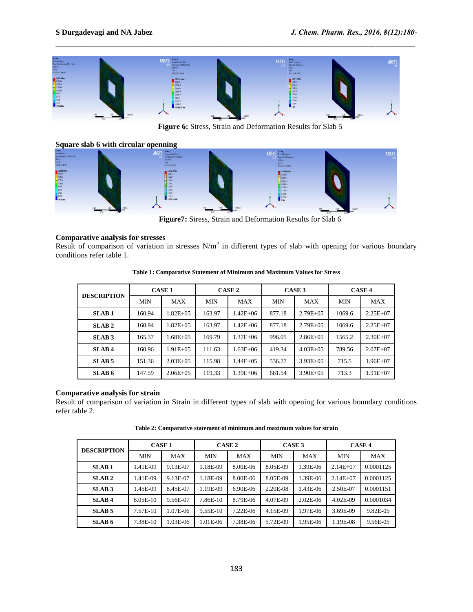

**Figure 6:** Stress, Strain and Deformation Results for Slab 5

**Square slab 6 with circular openning ANSYS** 

**Figure7:** Stress, Strain and Deformation Results for Slab 6

## **Comparative analysis for stresses**

Result of comparison of variation in stresses  $N/m^2$  in different types of slab with opening for various boundary conditions refer table 1.

| <b>DESCRIPTION</b> | <b>CASE 1</b> |               | CASE <sub>2</sub> |               | CASE <sub>3</sub> |               | <b>CASE 4</b> |              |
|--------------------|---------------|---------------|-------------------|---------------|-------------------|---------------|---------------|--------------|
|                    | <b>MIN</b>    | <b>MAX</b>    | <b>MIN</b>        | <b>MAX</b>    | <b>MIN</b>        | <b>MAX</b>    | <b>MIN</b>    | <b>MAX</b>   |
| <b>SLAB1</b>       | 160.94        | $1.82E + 0.5$ | 163.97            | $1.42E + 06$  | 877.18            | $2.79E + 0.5$ | 1069.6        | $2.25E + 07$ |
| SLAB <sub>2</sub>  | 160.94        | $1.82E + 0.5$ | 163.97            | $1.42E + 06$  | 877.18            | $2.79E + 0.5$ | 1069.6        | $2.25E + 07$ |
| SLAB <sub>3</sub>  | 165.37        | 1.68E+05      | 169.79            | $1.37E + 06$  | 996.05            | $2.86E+0.5$   | 1565.2        | $2.30E + 07$ |
| SLAB <sub>4</sub>  | 160.96        | $1.91E + 0.5$ | 111.63            | $1.63E + 06$  | 419.34            | $4.03E + 0.5$ | 789.56        | $2.07E + 07$ |
| SLAB <sub>5</sub>  | 151.36        | $2.03E + 0.5$ | 115.98            | $1.44E + 0.5$ | 536.27            | $3.93E + 0.5$ | 715.5         | $1.96E+07$   |
| SLAB <sub>6</sub>  | 147.59        | $2.06E + 0.5$ | 119.33            | $1.39E + 06$  | 661.54            | $3.90E + 05$  | 713.3         | $1.91E+07$   |

**Table 1: Comparative Statement of Minimum and Maximum Values for Stress**

## **Comparative analysis for strain**

Result of comparison of variation in Strain in different types of slab with opening for various boundary conditions refer table 2.

| <b>DESCRIPTION</b> | <b>CASE 1</b> |          | <b>CASE 2</b> |            | CASE <sub>3</sub> |              | <b>CASE 4</b> |            |
|--------------------|---------------|----------|---------------|------------|-------------------|--------------|---------------|------------|
|                    | MIN           | MAX      | <b>MIN</b>    | MAX        | <b>MIN</b>        | MAX          | <b>MIN</b>    | <b>MAX</b> |
| <b>SLAB1</b>       | .41E-09       | 9.13E-07 | 1.18E-09      | 8.00E-06   | 8.05E-09          | 1.39E-06     | $2.14E + 07$  | 0.0001125  |
| SLAB <sub>2</sub>  | .41E-09       | 9.13E-07 | 1.18E-09      | 8.00E-06   | 8.05E-09          | 1.39E-06     | $2.14E + 07$  | 0.0001125  |
| SLAB <sub>3</sub>  | .45E-09       | 8.45E-07 | 1.19E-09      | 6.90E-06   | 2.20E-08          | 1.43E-06     | 2.50E-07      | 0.0001151  |
| <b>SLAB4</b>       | 8.05E-10      | 9.56E-07 | 7.86E-10      | 8.79E-06   | 4.07E-09          | $2.02E - 06$ | 4.02E-09      | 0.0001034  |
| SLAB <sub>5</sub>  | 7.57E-10      | 1.07E-06 | 9.55E-10      | $7.22E-06$ | 4.15E-09          | 1.97E-06     | 3.69E-09      | 9.82E-05   |
| SLAB <sub>6</sub>  | 7.38E-10      | 1.03E-06 | 1.01E-06      | 7.38E-06   | 5.72E-09          | 1.95E-06     | 1.19E-08      | 9.56E-05   |

**Table 2: Comparative statement of minimum and maximum values for strain**